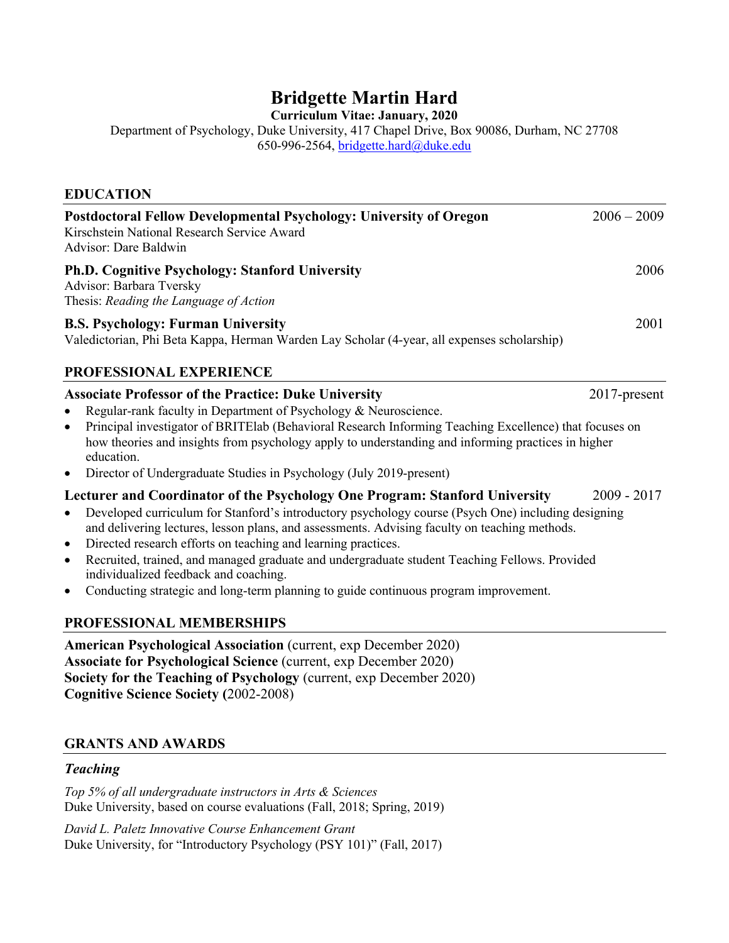# **Bridgette Martin Hard**

**Curriculum Vitae: January, 2020**

Department of Psychology, Duke University, 417 Chapel Drive, Box 90086, Durham, NC 27708 650-996-2564, bridgette.hard@duke.edu

## **EDUCATION**

| Postdoctoral Fellow Developmental Psychology: University of Oregon<br>Kirschstein National Research Service Award<br>Advisor: Dare Baldwin                                                                                                                                                                                                                                                                                                                                                                                                                                                                                                                                                                     | $2006 - 2009$ |
|----------------------------------------------------------------------------------------------------------------------------------------------------------------------------------------------------------------------------------------------------------------------------------------------------------------------------------------------------------------------------------------------------------------------------------------------------------------------------------------------------------------------------------------------------------------------------------------------------------------------------------------------------------------------------------------------------------------|---------------|
| <b>Ph.D. Cognitive Psychology: Stanford University</b><br>Advisor: Barbara Tversky<br>Thesis: Reading the Language of Action                                                                                                                                                                                                                                                                                                                                                                                                                                                                                                                                                                                   | 2006          |
| <b>B.S. Psychology: Furman University</b><br>Valedictorian, Phi Beta Kappa, Herman Warden Lay Scholar (4-year, all expenses scholarship)                                                                                                                                                                                                                                                                                                                                                                                                                                                                                                                                                                       | 2001          |
| PROFESSIONAL EXPERIENCE                                                                                                                                                                                                                                                                                                                                                                                                                                                                                                                                                                                                                                                                                        |               |
| <b>Associate Professor of the Practice: Duke University</b><br>2017-present<br>Regular-rank faculty in Department of Psychology & Neuroscience.<br>$\bullet$<br>Principal investigator of BRITEIab (Behavioral Research Informing Teaching Excellence) that focuses on<br>$\bullet$<br>how theories and insights from psychology apply to understanding and informing practices in higher<br>education.<br>Director of Undergraduate Studies in Psychology (July 2019-present)<br>$\bullet$<br>Lecturer and Coordinator of the Psychology One Program: Stanford University<br>$2009 - 2017$<br>Developed curriculum for Stanford's introductory psychology course (Psych One) including designing<br>$\bullet$ |               |
| and delivering lectures, lesson plans, and assessments. Advising faculty on teaching methods.<br>Directed research efforts on teaching and learning practices.<br>$\bullet$<br>Recruited, trained, and managed graduate and undergraduate student Teaching Fellows. Provided<br>$\bullet$<br>individualized feedback and coaching.<br>Conducting strategic and long-term planning to guide continuous program improvement.<br>$\bullet$                                                                                                                                                                                                                                                                        |               |
| PROFESSIONAL MEMBERSHIPS<br><b>American Psychological Association</b> (current, exp December 2020)<br><b>Associate for Psychological Science (current, exp December 2020)</b><br>Society for the Teaching of Psychology (current, exp December 2020)<br><b>Cognitive Science Society (2002-2008)</b>                                                                                                                                                                                                                                                                                                                                                                                                           |               |

# **GRANTS AND AWARDS**

#### *Teaching*

*Top 5% of all undergraduate instructors in Arts & Sciences* Duke University, based on course evaluations (Fall, 2018; Spring, 2019)

*David L. Paletz Innovative Course Enhancement Grant* Duke University, for "Introductory Psychology (PSY 101)" (Fall, 2017)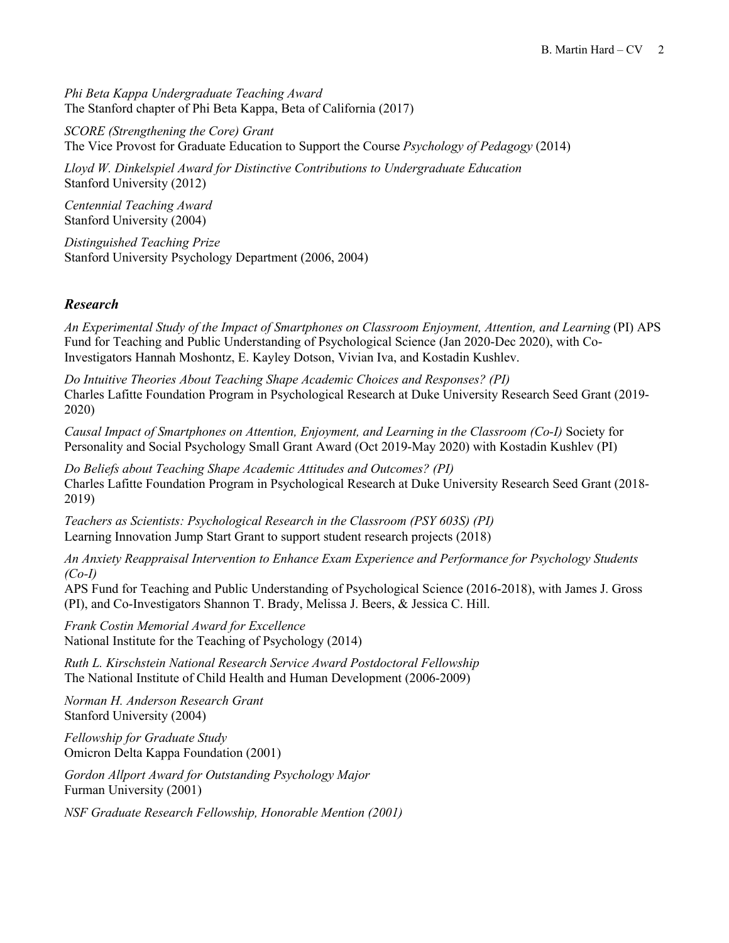*Phi Beta Kappa Undergraduate Teaching Award* The Stanford chapter of Phi Beta Kappa, Beta of California (2017)

*SCORE (Strengthening the Core) Grant* The Vice Provost for Graduate Education to Support the Course *Psychology of Pedagogy* (2014)

*Lloyd W. Dinkelspiel Award for Distinctive Contributions to Undergraduate Education* Stanford University (2012)

*Centennial Teaching Award* Stanford University (2004)

*Distinguished Teaching Prize* Stanford University Psychology Department (2006, 2004)

#### *Research*

*An Experimental Study of the Impact of Smartphones on Classroom Enjoyment, Attention, and Learning* (PI) APS Fund for Teaching and Public Understanding of Psychological Science (Jan 2020-Dec 2020), with Co-Investigators Hannah Moshontz, E. Kayley Dotson, Vivian Iva, and Kostadin Kushlev.

*Do Intuitive Theories About Teaching Shape Academic Choices and Responses? (PI)*  Charles Lafitte Foundation Program in Psychological Research at Duke University Research Seed Grant (2019- 2020)

*Causal Impact of Smartphones on Attention, Enjoyment, and Learning in the Classroom (Co-I)* Society for Personality and Social Psychology Small Grant Award (Oct 2019-May 2020) with Kostadin Kushlev (PI)

*Do Beliefs about Teaching Shape Academic Attitudes and Outcomes? (PI)* Charles Lafitte Foundation Program in Psychological Research at Duke University Research Seed Grant (2018- 2019)

*Teachers as Scientists: Psychological Research in the Classroom (PSY 603S) (PI)* Learning Innovation Jump Start Grant to support student research projects (2018)

*An Anxiety Reappraisal Intervention to Enhance Exam Experience and Performance for Psychology Students (Co-I)*

APS Fund for Teaching and Public Understanding of Psychological Science (2016-2018), with James J. Gross (PI), and Co-Investigators Shannon T. Brady, Melissa J. Beers, & Jessica C. Hill.

*Frank Costin Memorial Award for Excellence* National Institute for the Teaching of Psychology (2014)

*Ruth L. Kirschstein National Research Service Award Postdoctoral Fellowship* The National Institute of Child Health and Human Development (2006-2009)

*Norman H. Anderson Research Grant* Stanford University (2004)

*Fellowship for Graduate Study* Omicron Delta Kappa Foundation (2001)

*Gordon Allport Award for Outstanding Psychology Major* Furman University (2001)

*NSF Graduate Research Fellowship, Honorable Mention (2001)*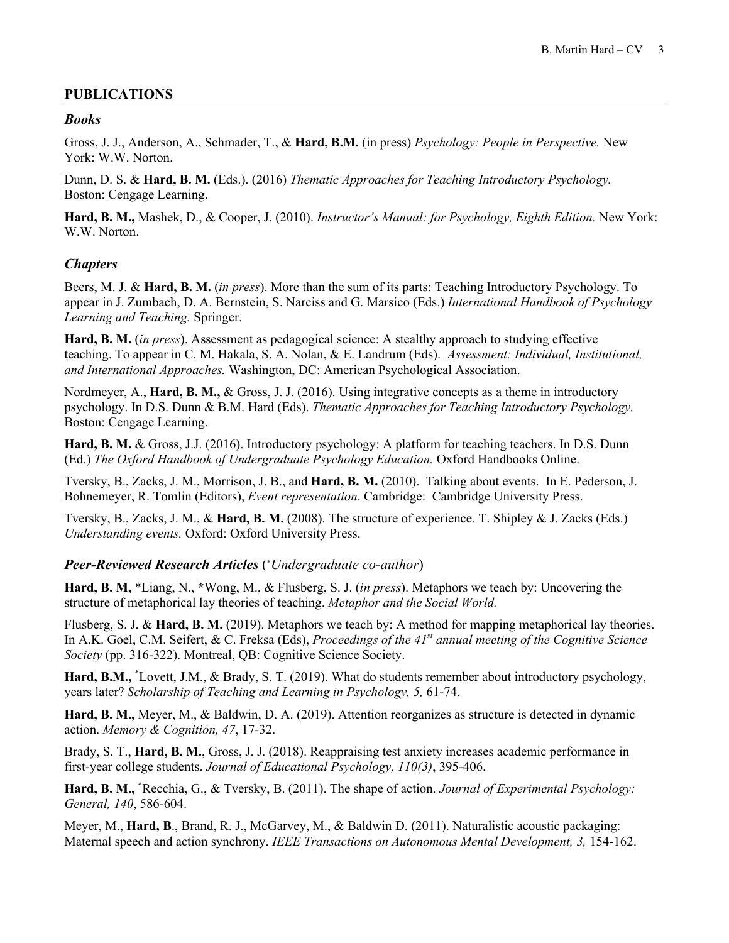## **PUBLICATIONS**

#### *Books*

Gross, J. J., Anderson, A., Schmader, T., & **Hard, B.M.** (in press) *Psychology: People in Perspective.* New York: W.W. Norton.

Dunn, D. S. & **Hard, B. M.** (Eds.). (2016) *Thematic Approaches for Teaching Introductory Psychology.* Boston: Cengage Learning.

**Hard, B. M.,** Mashek, D., & Cooper, J. (2010). *Instructor's Manual: for Psychology, Eighth Edition.* New York: W.W. Norton.

#### *Chapters*

Beers, M. J. & **Hard, B. M.** (*in press*). More than the sum of its parts: Teaching Introductory Psychology. To appear in J. Zumbach, D. A. Bernstein, S. Narciss and G. Marsico (Eds.) *International Handbook of Psychology Learning and Teaching.* Springer.

**Hard, B. M.** (*in press*). Assessment as pedagogical science: A stealthy approach to studying effective teaching. To appear in C. M. Hakala, S. A. Nolan, & E. Landrum (Eds). *Assessment: Individual, Institutional, and International Approaches.* Washington, DC: American Psychological Association.

Nordmeyer, A., **Hard, B. M.,** & Gross, J. J. (2016). Using integrative concepts as a theme in introductory psychology. In D.S. Dunn & B.M. Hard (Eds). *Thematic Approaches for Teaching Introductory Psychology.* Boston: Cengage Learning.

**Hard, B. M.** & Gross, J.J. (2016). Introductory psychology: A platform for teaching teachers. In D.S. Dunn (Ed.) *The Oxford Handbook of Undergraduate Psychology Education.* Oxford Handbooks Online.

Tversky, B., Zacks, J. M., Morrison, J. B., and **Hard, B. M.** (2010). Talking about events. In E. Pederson, J. Bohnemeyer, R. Tomlin (Editors), *Event representation*. Cambridge: Cambridge University Press.

Tversky, B., Zacks, J. M., & **Hard, B. M.** (2008). The structure of experience. T. Shipley & J. Zacks (Eds.) *Understanding events.* Oxford: Oxford University Press.

*Peer-Reviewed Research Articles* (\* *Undergraduate co-author*)

**Hard, B. M,** \*Liang, N., **\***Wong, M., & Flusberg, S. J. (*in press*). Metaphors we teach by: Uncovering the structure of metaphorical lay theories of teaching. *Metaphor and the Social World.*

Flusberg, S. J. & **Hard, B. M.** (2019). Metaphors we teach by: A method for mapping metaphorical lay theories. In A.K. Goel, C.M. Seifert, & C. Freksa (Eds), *Proceedings of the 41st annual meeting of the Cognitive Science Society* (pp. 316-322). Montreal, QB: Cognitive Science Society.

Hard, B.M., <sup>\*</sup>Lovett, J.M., & Brady, S. T. (2019). What do students remember about introductory psychology, years later? *Scholarship of Teaching and Learning in Psychology, 5,* 61-74.

**Hard, B. M.,** Meyer, M., & Baldwin, D. A. (2019). Attention reorganizes as structure is detected in dynamic action. *Memory & Cognition, 47*, 17-32.

Brady, S. T., **Hard, B. M.**, Gross, J. J. (2018). Reappraising test anxiety increases academic performance in first-year college students. *Journal of Educational Psychology, 110(3)*, 395-406.

**Hard, B. M.,** \* Recchia, G., & Tversky, B. (2011). The shape of action. *Journal of Experimental Psychology: General, 140*, 586-604.

Meyer, M., **Hard, B**., Brand, R. J., McGarvey, M., & Baldwin D. (2011). Naturalistic acoustic packaging: Maternal speech and action synchrony. *IEEE Transactions on Autonomous Mental Development, 3,* 154-162.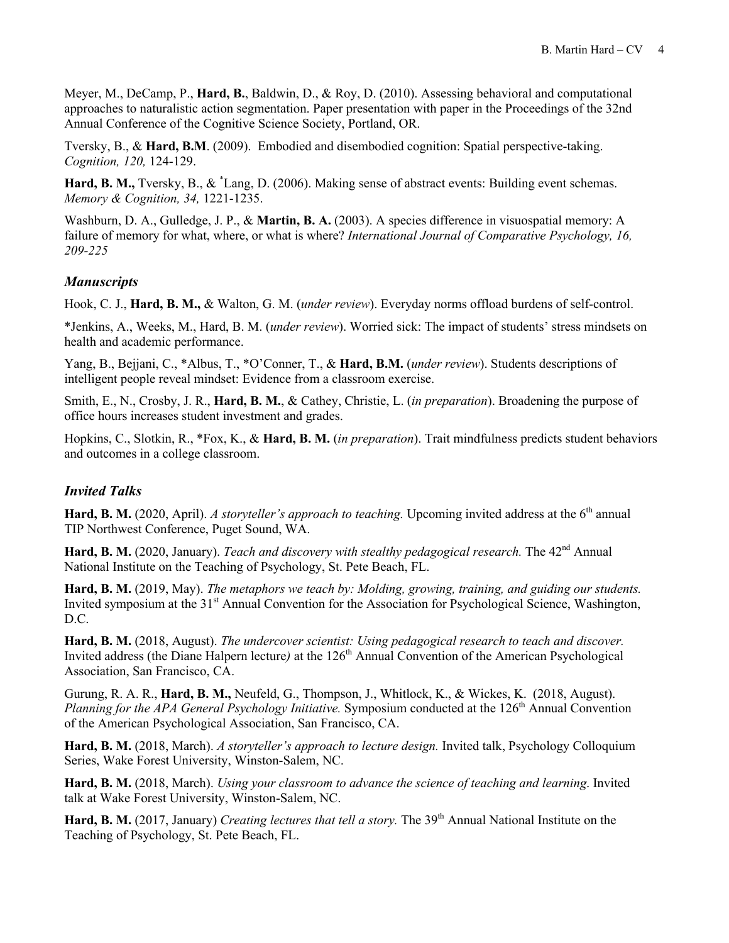Meyer, M., DeCamp, P., **Hard, B.**, Baldwin, D., & Roy, D. (2010). Assessing behavioral and computational approaches to naturalistic action segmentation. Paper presentation with paper in the Proceedings of the 32nd Annual Conference of the Cognitive Science Society, Portland, OR.

Tversky, B., & **Hard, B.M**. (2009). Embodied and disembodied cognition: Spatial perspective-taking. *Cognition, 120,* 124-129.

Hard, B. M., Tversky, B., & <sup>\*</sup>Lang, D. (2006). Making sense of abstract events: Building event schemas. *Memory & Cognition, 34,* 1221-1235.

Washburn, D. A., Gulledge, J. P., & **Martin, B. A.** (2003). A species difference in visuospatial memory: A failure of memory for what, where, or what is where? *International Journal of Comparative Psychology, 16, 209-225*

## *Manuscripts*

Hook, C. J., **Hard, B. M.,** & Walton, G. M. (*under review*). Everyday norms offload burdens of self-control.

\*Jenkins, A., Weeks, M., Hard, B. M. (*under review*). Worried sick: The impact of students' stress mindsets on health and academic performance.

Yang, B., Bejjani, C., \*Albus, T., \*O'Conner, T., & **Hard, B.M.** (*under review*). Students descriptions of intelligent people reveal mindset: Evidence from a classroom exercise.

Smith, E., N., Crosby, J. R., **Hard, B. M.**, & Cathey, Christie, L. (*in preparation*). Broadening the purpose of office hours increases student investment and grades.

Hopkins, C., Slotkin, R., \*Fox, K., & **Hard, B. M.** (*in preparation*). Trait mindfulness predicts student behaviors and outcomes in a college classroom.

#### *Invited Talks*

**Hard, B. M.** (2020, April). *A storyteller's approach to teaching*. Upcoming invited address at the 6<sup>th</sup> annual TIP Northwest Conference, Puget Sound, WA.

Hard, B. M. (2020, January). *Teach and discovery with stealthy pedagogical research*. The 42<sup>nd</sup> Annual National Institute on the Teaching of Psychology, St. Pete Beach, FL.

**Hard, B. M.** (2019, May). *The metaphors we teach by: Molding, growing, training, and guiding our students.* Invited symposium at the 31<sup>st</sup> Annual Convention for the Association for Psychological Science, Washington, D.C.

**Hard, B. M.** (2018, August). *The undercover scientist: Using pedagogical research to teach and discover.* Invited address (the Diane Halpern lecture) at the 126<sup>th</sup> Annual Convention of the American Psychological Association, San Francisco, CA.

Gurung, R. A. R., **Hard, B. M.,** Neufeld, G., Thompson, J., Whitlock, K., & Wickes, K. (2018, August). *Planning for the APA General Psychology Initiative.* Symposium conducted at the 126<sup>th</sup> Annual Convention of the American Psychological Association, San Francisco, CA.

**Hard, B. M.** (2018, March). *A storyteller's approach to lecture design.* Invited talk, Psychology Colloquium Series, Wake Forest University, Winston-Salem, NC.

**Hard, B. M.** (2018, March). *Using your classroom to advance the science of teaching and learning*. Invited talk at Wake Forest University, Winston-Salem, NC.

Hard, B. M. (2017, January) *Creating lectures that tell a story*. The 39<sup>th</sup> Annual National Institute on the Teaching of Psychology, St. Pete Beach, FL.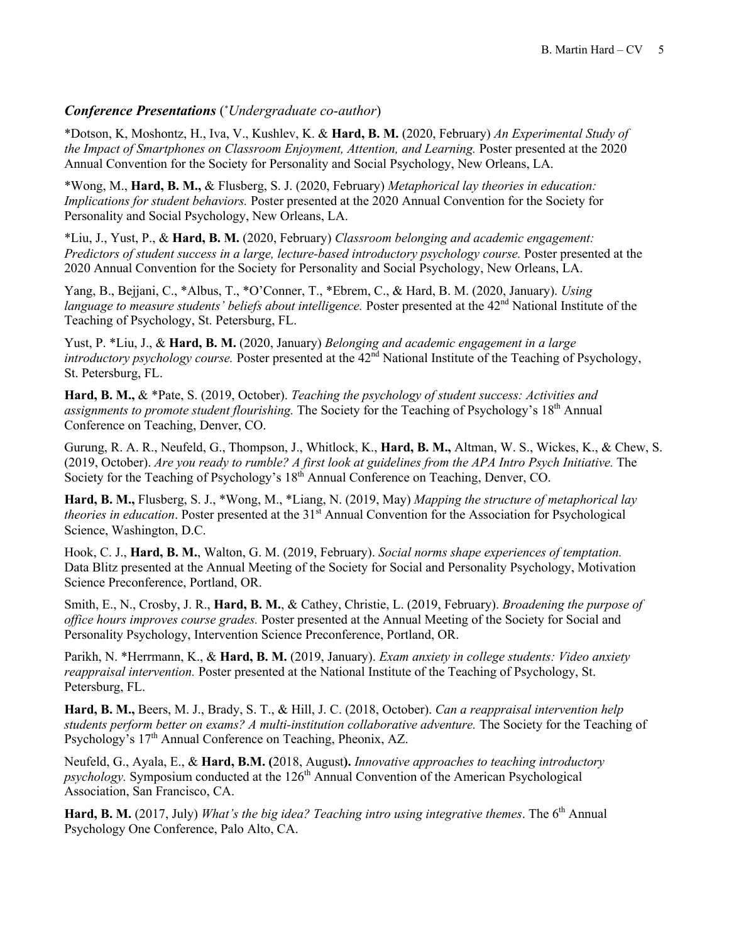## *Conference Presentations* (\* *Undergraduate co-author*)

\*Dotson, K, Moshontz, H., Iva, V., Kushlev, K. & **Hard, B. M.** (2020, February) *An Experimental Study of the Impact of Smartphones on Classroom Enjoyment, Attention, and Learning.* Poster presented at the 2020 Annual Convention for the Society for Personality and Social Psychology, New Orleans, LA.

\*Wong, M., **Hard, B. M.,** & Flusberg, S. J. (2020, February) *Metaphorical lay theories in education: Implications for student behaviors.* Poster presented at the 2020 Annual Convention for the Society for Personality and Social Psychology, New Orleans, LA.

\*Liu, J., Yust, P., & **Hard, B. M.** (2020, February) *Classroom belonging and academic engagement: Predictors of student success in a large, lecture-based introductory psychology course.* Poster presented at the 2020 Annual Convention for the Society for Personality and Social Psychology, New Orleans, LA.

Yang, B., Bejjani, C., \*Albus, T., \*O'Conner, T., \*Ebrem, C., & Hard, B. M. (2020, January). *Using language to measure students' beliefs about intelligence.* Poster presented at the 42<sup>nd</sup> National Institute of the Teaching of Psychology, St. Petersburg, FL.

Yust, P. \*Liu, J., & **Hard, B. M.** (2020, January) *Belonging and academic engagement in a large introductory psychology course.* Poster presented at the 42<sup>nd</sup> National Institute of the Teaching of Psychology, St. Petersburg, FL.

**Hard, B. M.,** & \*Pate, S. (2019, October). *Teaching the psychology of student success: Activities and assignments to promote student flourishing.* The Society for the Teaching of Psychology's 18th Annual Conference on Teaching, Denver, CO.

Gurung, R. A. R., Neufeld, G., Thompson, J., Whitlock, K., **Hard, B. M.,** Altman, W. S., Wickes, K., & Chew, S. (2019, October). *Are you ready to rumble? A first look at guidelines from the APA Intro Psych Initiative.* The Society for the Teaching of Psychology's 18<sup>th</sup> Annual Conference on Teaching, Denver, CO.

**Hard, B. M.,** Flusberg, S. J., \*Wong, M., \*Liang, N. (2019, May) *Mapping the structure of metaphorical lay theories in education*. Poster presented at the 31<sup>st</sup> Annual Convention for the Association for Psychological Science, Washington, D.C.

Hook, C. J., **Hard, B. M.**, Walton, G. M. (2019, February). *Social norms shape experiences of temptation.* Data Blitz presented at the Annual Meeting of the Society for Social and Personality Psychology, Motivation Science Preconference, Portland, OR.

Smith, E., N., Crosby, J. R., **Hard, B. M.**, & Cathey, Christie, L. (2019, February). *Broadening the purpose of office hours improves course grades.* Poster presented at the Annual Meeting of the Society for Social and Personality Psychology, Intervention Science Preconference, Portland, OR.

Parikh, N. \*Herrmann, K., & **Hard, B. M.** (2019, January). *Exam anxiety in college students: Video anxiety reappraisal intervention.* Poster presented at the National Institute of the Teaching of Psychology, St. Petersburg, FL.

**Hard, B. M.,** Beers, M. J., Brady, S. T., & Hill, J. C. (2018, October). *Can a reappraisal intervention help students perform better on exams? A multi-institution collaborative adventure.* The Society for the Teaching of Psychology's 17<sup>th</sup> Annual Conference on Teaching, Pheonix, AZ.

Neufeld, G., Ayala, E., & **Hard, B.M. (**2018, August**).** *Innovative approaches to teaching introductory psychology.* Symposium conducted at the 126<sup>th</sup> Annual Convention of the American Psychological Association, San Francisco, CA.

**Hard, B. M.** (2017, July) *What's the big idea? Teaching intro using integrative themes. The 6<sup>th</sup> Annual* Psychology One Conference, Palo Alto, CA.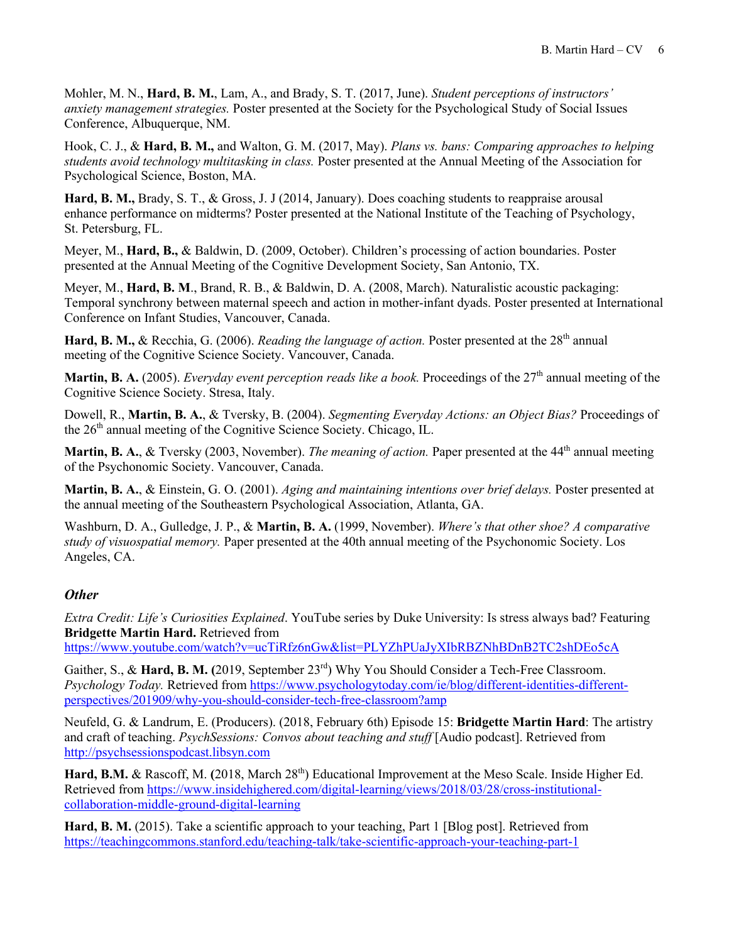Mohler, M. N., **Hard, B. M.**, Lam, A., and Brady, S. T. (2017, June). *Student perceptions of instructors' anxiety management strategies.* Poster presented at the Society for the Psychological Study of Social Issues Conference, Albuquerque, NM.

Hook, C. J., & **Hard, B. M.,** and Walton, G. M. (2017, May). *Plans vs. bans: Comparing approaches to helping students avoid technology multitasking in class.* Poster presented at the Annual Meeting of the Association for Psychological Science, Boston, MA.

**Hard, B. M.,** Brady, S. T., & Gross, J. J (2014, January). Does coaching students to reappraise arousal enhance performance on midterms? Poster presented at the National Institute of the Teaching of Psychology, St. Petersburg, FL.

Meyer, M., **Hard, B.,** & Baldwin, D. (2009, October). Children's processing of action boundaries. Poster presented at the Annual Meeting of the Cognitive Development Society, San Antonio, TX.

Meyer, M., **Hard, B. M**., Brand, R. B., & Baldwin, D. A. (2008, March). Naturalistic acoustic packaging: Temporal synchrony between maternal speech and action in mother-infant dyads. Poster presented at International Conference on Infant Studies, Vancouver, Canada.

Hard, B. M., & Recchia, G. (2006). *Reading the language of action*. Poster presented at the 28<sup>th</sup> annual meeting of the Cognitive Science Society. Vancouver, Canada.

**Martin, B. A.** (2005). *Everyday event perception reads like a book*. Proceedings of the 27<sup>th</sup> annual meeting of the Cognitive Science Society. Stresa, Italy.

Dowell, R., **Martin, B. A.**, & Tversky, B. (2004). *Segmenting Everyday Actions: an Object Bias?* Proceedings of the 26<sup>th</sup> annual meeting of the Cognitive Science Society. Chicago, IL.

**Martin, B. A., & Tversky (2003, November).** *The meaning of action*. Paper presented at the 44<sup>th</sup> annual meeting of the Psychonomic Society. Vancouver, Canada.

**Martin, B. A.**, & Einstein, G. O. (2001). *Aging and maintaining intentions over brief delays.* Poster presented at the annual meeting of the Southeastern Psychological Association, Atlanta, GA.

Washburn, D. A., Gulledge, J. P., & **Martin, B. A.** (1999, November). *Where's that other shoe? A comparative study of visuospatial memory.* Paper presented at the 40th annual meeting of the Psychonomic Society. Los Angeles, CA.

#### *Other*

*Extra Credit: Life's Curiosities Explained*. YouTube series by Duke University: Is stress always bad? Featuring **Bridgette Martin Hard.** Retrieved from

https://www.youtube.com/watch?v=ucTiRfz6nGw&list=PLYZhPUaJyXIbRBZNhBDnB2TC2shDEo5cA

Gaither, S., & Hard, B. M. (2019, September 23<sup>rd</sup>) Why You Should Consider a Tech-Free Classroom. *Psychology Today.* Retrieved from https://www.psychologytoday.com/ie/blog/different-identities-differentperspectives/201909/why-you-should-consider-tech-free-classroom?amp

Neufeld, G. & Landrum, E. (Producers). (2018, February 6th) Episode 15: **Bridgette Martin Hard**: The artistry and craft of teaching. *PsychSessions: Convos about teaching and stuff* [Audio podcast]. Retrieved from http://psychsessionspodcast.libsyn.com

Hard, B.M. & Rascoff, M. (2018, March 28<sup>th</sup>) Educational Improvement at the Meso Scale. Inside Higher Ed. Retrieved from https://www.insidehighered.com/digital-learning/views/2018/03/28/cross-institutionalcollaboration-middle-ground-digital-learning

**Hard, B. M.** (2015). Take a scientific approach to your teaching, Part 1 [Blog post]. Retrieved from https://teachingcommons.stanford.edu/teaching-talk/take-scientific-approach-your-teaching-part-1